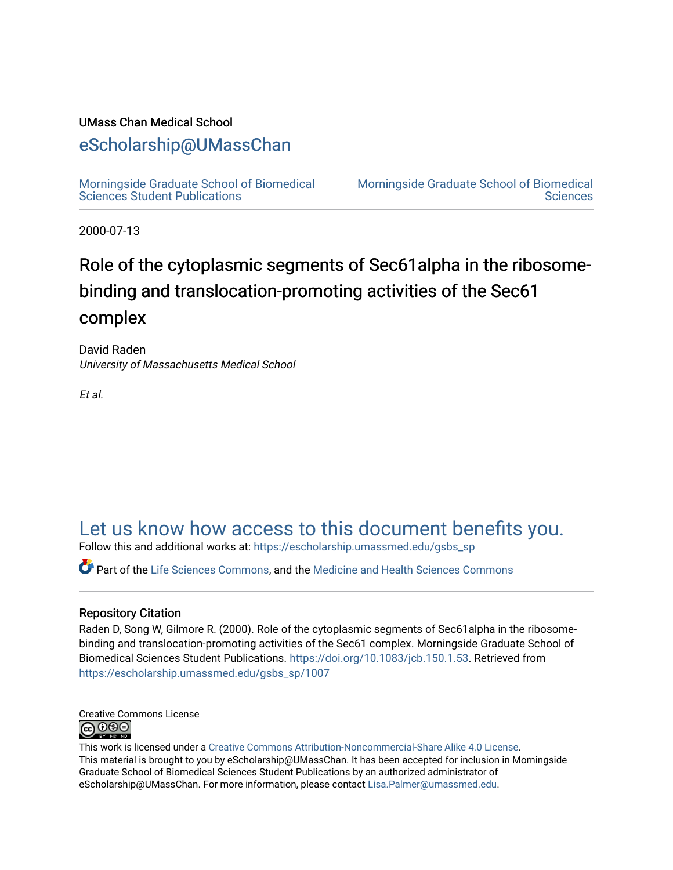# UMass Chan Medical School

# [eScholarship@UMassChan](https://escholarship.umassmed.edu/)

[Morningside Graduate School of Biomedical](https://escholarship.umassmed.edu/gsbs_sp)  [Sciences Student Publications](https://escholarship.umassmed.edu/gsbs_sp) 

[Morningside Graduate School of Biomedical](https://escholarship.umassmed.edu/gsbs)  **Sciences** 

2000-07-13

# Role of the cytoplasmic segments of Sec61alpha in the ribosomebinding and translocation-promoting activities of the Sec61 complex

David Raden University of Massachusetts Medical School

Et al.

# [Let us know how access to this document benefits you.](https://arcsapps.umassmed.edu/redcap/surveys/?s=XWRHNF9EJE)

Follow this and additional works at: [https://escholarship.umassmed.edu/gsbs\\_sp](https://escholarship.umassmed.edu/gsbs_sp?utm_source=escholarship.umassmed.edu%2Fgsbs_sp%2F1007&utm_medium=PDF&utm_campaign=PDFCoverPages)

Part of the [Life Sciences Commons,](http://network.bepress.com/hgg/discipline/1016?utm_source=escholarship.umassmed.edu%2Fgsbs_sp%2F1007&utm_medium=PDF&utm_campaign=PDFCoverPages) and the [Medicine and Health Sciences Commons](http://network.bepress.com/hgg/discipline/648?utm_source=escholarship.umassmed.edu%2Fgsbs_sp%2F1007&utm_medium=PDF&utm_campaign=PDFCoverPages)

# Repository Citation

Raden D, Song W, Gilmore R. (2000). Role of the cytoplasmic segments of Sec61alpha in the ribosomebinding and translocation-promoting activities of the Sec61 complex. Morningside Graduate School of Biomedical Sciences Student Publications. <https://doi.org/10.1083/jcb.150.1.53>. Retrieved from [https://escholarship.umassmed.edu/gsbs\\_sp/1007](https://escholarship.umassmed.edu/gsbs_sp/1007?utm_source=escholarship.umassmed.edu%2Fgsbs_sp%2F1007&utm_medium=PDF&utm_campaign=PDFCoverPages) 



This work is licensed under a [Creative Commons Attribution-Noncommercial-Share Alike 4.0 License.](http://creativecommons.org/licenses/by-nc-sa/4.0/) This material is brought to you by eScholarship@UMassChan. It has been accepted for inclusion in Morningside Graduate School of Biomedical Sciences Student Publications by an authorized administrator of eScholarship@UMassChan. For more information, please contact [Lisa.Palmer@umassmed.edu](mailto:Lisa.Palmer@umassmed.edu).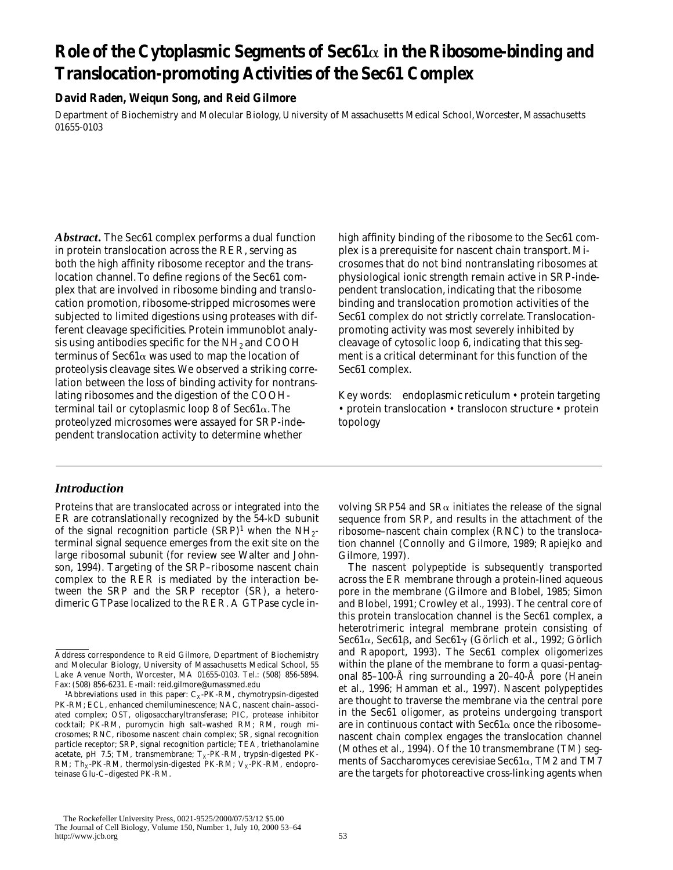# **Role of the Cytoplasmic Segments of Sec61**a **in the Ribosome-binding and Translocation-promoting Activities of the Sec61 Complex**

# **David Raden, Weiqun Song, and Reid Gilmore**

Department of Biochemistry and Molecular Biology, University of Massachusetts Medical School, Worcester, Massachusetts 01655-0103

*Abstract.* The Sec61 complex performs a dual function in protein translocation across the RER, serving as both the high affinity ribosome receptor and the translocation channel. To define regions of the Sec61 complex that are involved in ribosome binding and translocation promotion, ribosome-stripped microsomes were subjected to limited digestions using proteases with different cleavage specificities. Protein immunoblot analysis using antibodies specific for the  $NH<sub>2</sub>$  and COOH terminus of  $\text{Sec61}\alpha$  was used to map the location of proteolysis cleavage sites. We observed a striking correlation between the loss of binding activity for nontranslating ribosomes and the digestion of the COOHterminal tail or cytoplasmic loop 8 of Sec61a. The proteolyzed microsomes were assayed for SRP-independent translocation activity to determine whether

# *Introduction*

Proteins that are translocated across or integrated into the ER are cotranslationally recognized by the 54-kD subunit of the signal recognition particle  $(SRP)^1$  when the NH<sub>2</sub>terminal signal sequence emerges from the exit site on the large ribosomal subunit (for review see Walter and Johnson, 1994). Targeting of the SRP–ribosome nascent chain complex to the RER is mediated by the interaction between the SRP and the SRP receptor (SR), a heterodimeric GTPase localized to the RER. A GTPase cycle in-

high affinity binding of the ribosome to the Sec61 complex is a prerequisite for nascent chain transport. Microsomes that do not bind nontranslating ribosomes at physiological ionic strength remain active in SRP-independent translocation, indicating that the ribosome binding and translocation promotion activities of the Sec61 complex do not strictly correlate. Translocationpromoting activity was most severely inhibited by cleavage of cytosolic loop 6, indicating that this segment is a critical determinant for this function of the Sec61 complex.

Key words: endoplasmic reticulum • protein targeting • protein translocation • translocon structure • protein topology

volving SRP54 and SR $\alpha$  initiates the release of the signal sequence from SRP, and results in the attachment of the ribosome–nascent chain complex (RNC) to the translocation channel (Connolly and Gilmore, 1989; Rapiejko and Gilmore, 1997).

The nascent polypeptide is subsequently transported across the ER membrane through a protein-lined aqueous pore in the membrane (Gilmore and Blobel, 1985; Simon and Blobel, 1991; Crowley et al., 1993). The central core of this protein translocation channel is the Sec61 complex, a heterotrimeric integral membrane protein consisting of Sec61 $\alpha$ , Sec61 $\beta$ , and Sec61 $\gamma$  (Görlich et al., 1992; Görlich and Rapoport, 1993). The Sec61 complex oligomerizes within the plane of the membrane to form a quasi-pentagonal 85–100-Å ring surrounding a 20–40-Å pore (Hanein et al., 1996; Hamman et al., 1997). Nascent polypeptides are thought to traverse the membrane via the central pore in the Sec61 oligomer, as proteins undergoing transport are in continuous contact with Sec $61\alpha$  once the ribosomenascent chain complex engages the translocation channel (Mothes et al., 1994). Of the 10 transmembrane (TM) segments of *Saccharomyces cerevisiae* Sec61a, TM2 and TM7 are the targets for photoreactive cross-linking agents when

Address correspondence to Reid Gilmore, Department of Biochemistry and Molecular Biology, University of Massachusetts Medical School, 55 Lake Avenue North, Worcester, MA 01655-0103. Tel.: (508) 856-5894. Fax: (508) 856-6231. E-mail: reid.gilmore@umassmed.edu

<sup>&</sup>lt;sup>1</sup>Abbreviations used in this paper: C<sub>X</sub>-PK-RM, chymotrypsin-digested PK-RM; ECL, enhanced chemiluminescence; NAC, nascent chain–associated complex; OST, oligosaccharyltransferase; PIC, protease inhibitor cocktail; PK-RM, puromycin high salt–washed RM; RM, rough microsomes; RNC, ribosome nascent chain complex; SR, signal recognition particle receptor; SRP, signal recognition particle; TEA, triethanolamine acetate, pH 7.5; TM, transmembrane;  $T_X$ -PK-RM, trypsin-digested PK-RM; Th<sub>X</sub>-PK-RM, thermolysin-digested PK-RM;  $V_X$ -PK-RM, endoproteinase Glu-C–digested PK-RM.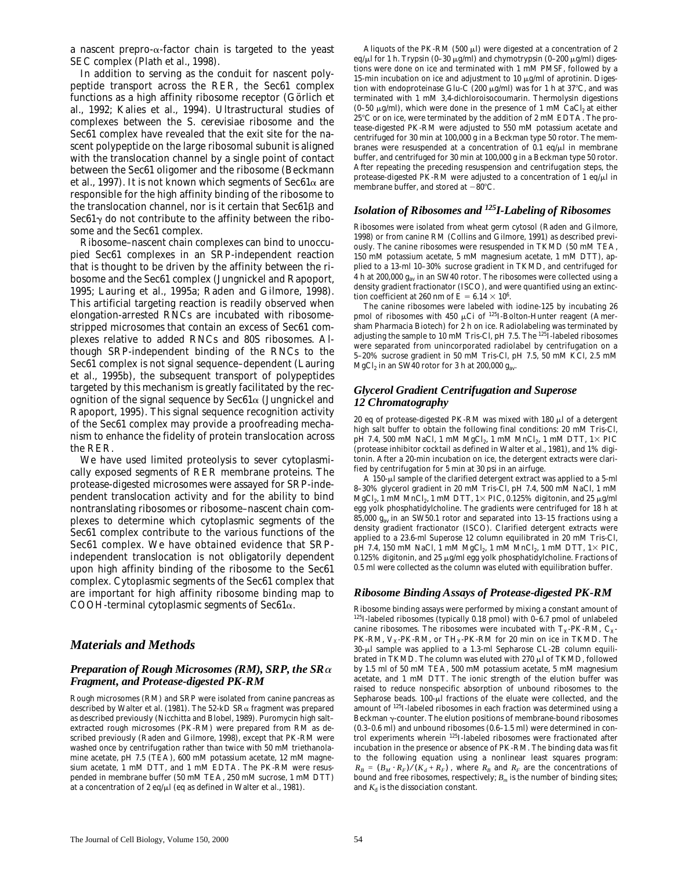a nascent prepro- $\alpha$ -factor chain is targeted to the yeast SEC complex (Plath et al., 1998).

In addition to serving as the conduit for nascent polypeptide transport across the RER, the Sec61 complex functions as a high affinity ribosome receptor (Görlich et al., 1992; Kalies et al., 1994). Ultrastructural studies of complexes between the *S*. *cerevisiae* ribosome and the Sec61 complex have revealed that the exit site for the nascent polypeptide on the large ribosomal subunit is aligned with the translocation channel by a single point of contact between the Sec61 oligomer and the ribosome (Beckmann et al., 1997). It is not known which segments of Sec61 $\alpha$  are responsible for the high affinity binding of the ribosome to the translocation channel, nor is it certain that  $\text{Sec61}\beta$  and Sec $61\gamma$  do not contribute to the affinity between the ribosome and the Sec61 complex.

Ribosome–nascent chain complexes can bind to unoccupied Sec61 complexes in an SRP-independent reaction that is thought to be driven by the affinity between the ribosome and the Sec61 complex (Jungnickel and Rapoport, 1995; Lauring et al., 1995a; Raden and Gilmore, 1998). This artificial targeting reaction is readily observed when elongation-arrested RNCs are incubated with ribosomestripped microsomes that contain an excess of Sec61 complexes relative to added RNCs and 80S ribosomes. Although SRP-independent binding of the RNCs to the Sec61 complex is not signal sequence–dependent (Lauring et al., 1995b), the subsequent transport of polypeptides targeted by this mechanism is greatly facilitated by the recognition of the signal sequence by  $\text{Sec61}\alpha$  (Jungnickel and Rapoport, 1995). This signal sequence recognition activity of the Sec61 complex may provide a proofreading mechanism to enhance the fidelity of protein translocation across the RER.

We have used limited proteolysis to sever cytoplasmically exposed segments of RER membrane proteins. The protease-digested microsomes were assayed for SRP-independent translocation activity and for the ability to bind nontranslating ribosomes or ribosome–nascent chain complexes to determine which cytoplasmic segments of the Sec61 complex contribute to the various functions of the Sec61 complex. We have obtained evidence that SRPindependent translocation is not obligatorily dependent upon high affinity binding of the ribosome to the Sec61 complex. Cytoplasmic segments of the Sec61 complex that are important for high affinity ribosome binding map to COOH-terminal cytoplasmic segments of Sec61 $\alpha$ .

# *Materials and Methods*

# *Preparation of Rough Microsomes (RM), SRP, the SR*<sup>a</sup> *Fragment, and Protease-digested PK-RM*

Rough microsomes (RM) and SRP were isolated from canine pancreas as described by Walter et al. (1981). The 52-kD SR $\alpha$  fragment was prepared as described previously (Nicchitta and Blobel, 1989). Puromycin high salt– extracted rough microsomes (PK-RM) were prepared from RM as described previously (Raden and Gilmore, 1998), except that PK-RM were washed once by centrifugation rather than twice with 50 mM triethanolamine acetate, pH 7.5 (TEA), 600 mM potassium acetate, 12 mM magnesium acetate, 1 mM DTT, and 1 mM EDTA. The PK-RM were resuspended in membrane buffer (50 mM TEA, 250 mM sucrose, 1 mM DTT) at a concentration of 2 eq/ $\mu$ l (eq as defined in Walter et al., 1981).

Aliquots of the PK-RM (500  $\mu$ l) were digested at a concentration of 2 eq/μl for 1 h. Trypsin (0–30 μg/ml) and chymotrypsin (0–200 μg/ml) digestions were done on ice and terminated with 1 mM PMSF, followed by a 15-min incubation on ice and adjustment to 10  $\mu$ g/ml of aprotinin. Digestion with endoproteinase Glu-C (200  $\mu$ g/ml) was for 1 h at 37°C, and was terminated with 1 mM 3,4-dichloroisocoumarin. Thermolysin digestions (0-50  $\mu$ g/ml), which were done in the presence of 1 mM CaCl<sub>2</sub> at either 25°C or on ice, were terminated by the addition of 2 mM EDTA. The protease-digested PK-RM were adjusted to 550 mM potassium acetate and centrifuged for 30 min at 100,000 *g* in a Beckman type 50 rotor. The membranes were resuspended at a concentration of 0.1 eq/ $\mu$ l in membrane buffer, and centrifuged for 30 min at 100,000 *g* in a Beckman type 50 rotor. After repeating the preceding resuspension and centrifugation steps, the protease-digested PK-RM were adjusted to a concentration of 1 eq/ $\mu$ l in membrane buffer, and stored at  $-80^{\circ}$ C.

# *Isolation of Ribosomes and 125I-Labeling of Ribosomes*

Ribosomes were isolated from wheat germ cytosol (Raden and Gilmore, 1998) or from canine RM (Collins and Gilmore, 1991) as described previously. The canine ribosomes were resuspended in TKMD (50 mM TEA, 150 mM potassium acetate, 5 mM magnesium acetate, 1 mM DTT), applied to a 13-ml 10–30% sucrose gradient in TKMD, and centrifuged for 4 h at 200,000 *gav* in an SW40 rotor. The ribosomes were collected using a density gradient fractionator (ISCO), and were quantified using an extinction coefficient at 260 nm of E =  $6.14 \times 10^6$ .

The canine ribosomes were labeled with iodine-125 by incubating 26 pmol of ribosomes with 450  $\mu$ Ci of <sup>125</sup>I-Bolton-Hunter reagent (Amersham Pharmacia Biotech) for 2 h on ice. Radiolabeling was terminated by adjusting the sample to 10 mM Tris-Cl, pH 7.5. The <sup>125</sup>I-labeled ribosomes were separated from unincorporated radiolabel by centrifugation on a 5–20% sucrose gradient in 50 mM Tris-Cl, pH 7.5, 50 mM KCl, 2.5 mM MgCl2 in an SW40 rotor for 3 h at 200,000 *gav*.

# *Glycerol Gradient Centrifugation and Superose 12 Chromatography*

20 eq of protease-digested PK-RM was mixed with  $180 \mu$ l of a detergent high salt buffer to obtain the following final conditions: 20 mM Tris-Cl, pH 7.4, 500 mM NaCl, 1 mM  $MgCl_2$ , 1 mM  $MnCl_2$ , 1 mM DTT, 1 $\times$  PIC (protease inhibitor cocktail as defined in Walter et al., 1981), and 1% digitonin. After a 20-min incubation on ice, the detergent extracts were clarified by centrifugation for 5 min at 30 psi in an airfuge.

A 150-µl sample of the clarified detergent extract was applied to a 5-ml 8–30% glycerol gradient in 20 mM Tris-Cl, pH 7.4, 500 mM NaCl, 1 mM MgCl<sub>2</sub>, 1 mM MnCl<sub>2</sub>, 1 mM DTT,  $1 \times$  PIC, 0.125% digitonin, and 25  $\mu$ g/ml egg yolk phosphatidylcholine. The gradients were centrifuged for 18 h at 85,000 *gav* in an SW50.1 rotor and separated into 13–15 fractions using a density gradient fractionator (ISCO). Clarified detergent extracts were applied to a 23.6-ml Superose 12 column equilibrated in 20 mM Tris-Cl, pH 7.4, 150 mM NaCl, 1 mM  $MgCl_2$ , 1 mM  $MnCl_2$ , 1 mM DTT,  $1 \times$  PIC,  $0.125\%$  digitonin, and  $25 \mu$ g/ml egg yolk phosphatidylcholine. Fractions of 0.5 ml were collected as the column was eluted with equilibration buffer.

# *Ribosome Binding Assays of Protease-digested PK-RM*

Ribosome binding assays were performed by mixing a constant amount of 125I-labeled ribosomes (typically 0.18 pmol) with 0–6.7 pmol of unlabeled canine ribosomes. The ribosomes were incubated with  $T_X-PK-RM$ ,  $C_X$ -PK-RM,  $V_X$ -PK-RM, or TH<sub>X</sub>-PK-RM for 20 min on ice in TKMD. The 30-µl sample was applied to a 1.3-ml Sepharose CL-2B column equilibrated in TKMD. The column was eluted with 270 µl of TKMD, followed by 1.5 ml of 50 mM TEA, 500 mM potassium acetate, 5 mM magnesium acetate, and 1 mM DTT. The ionic strength of the elution buffer was raised to reduce nonspecific absorption of unbound ribosomes to the Sepharose beads. 100-µl fractions of the eluate were collected, and the amount of 125I-labeled ribosomes in each fraction was determined using a Beckman  $\gamma$ -counter. The elution positions of membrane-bound ribosomes (0.3–0.6 ml) and unbound ribosomes (0.6–1.5 ml) were determined in control experiments wherein 125I-labeled ribosomes were fractionated after incubation in the presence or absence of PK-RM. The binding data was fit to the following equation using a nonlinear least squares program:  $R_B = (B_M \cdot R_F)/(K_d + R_F)$ , where  $R_B$  and  $R_F$  are the concentrations of bound and free ribosomes, respectively;  $B_m$  is the number of binding sites; and  $K_d$  is the dissociation constant.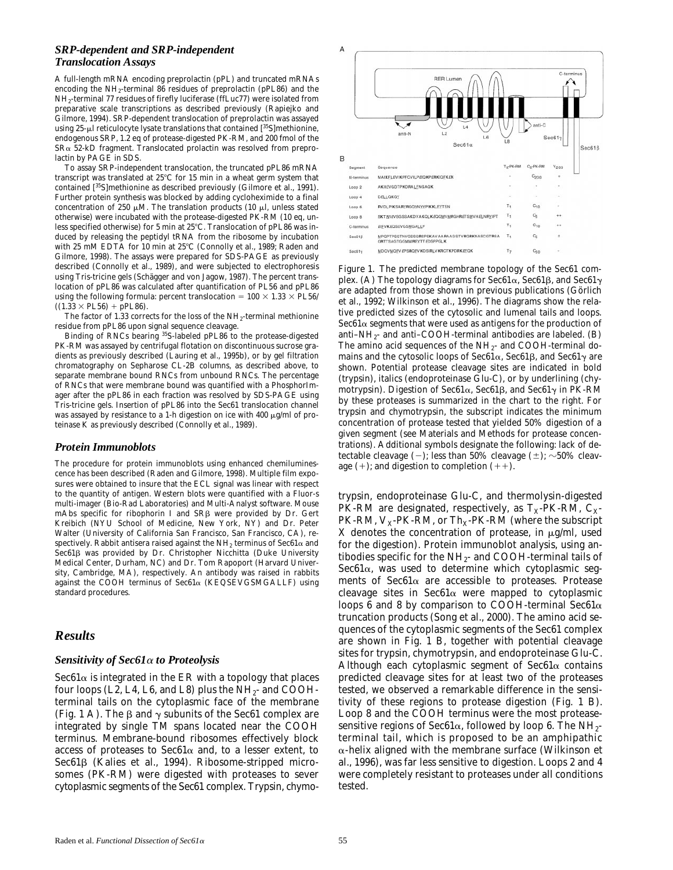# *SRP-dependent and SRP-independent Translocation Assays*

A full-length mRNA encoding preprolactin (pPL) and truncated mRNAs encoding the NH2-terminal 86 residues of preprolactin (pPL86) and the NH2-terminal 77 residues of firefly luciferase (ffLuc77) were isolated from preparative scale transcriptions as described previously (Rapiejko and Gilmore, 1994). SRP-dependent translocation of preprolactin was assayed using  $25-\mu$  reticulocyte lysate translations that contained  $[35S]$ methionine, endogenous SRP, 1.2 eq of protease-digested PK-RM, and 200 fmol of the  $S$ R $\alpha$  52-kD fragment. Translocated prolactin was resolved from preprolactin by PAGE in SDS.

To assay SRP-independent translocation, the truncated pPL86 mRNA transcript was translated at  $25^{\circ}$ C for 15 min in a wheat germ system that contained [35S]methionine as described previously (Gilmore et al., 1991). Further protein synthesis was blocked by adding cycloheximide to a final concentration of 250  $\mu$ M. The translation products (10  $\mu$ l, unless stated otherwise) were incubated with the protease-digested PK-RM (10 eq, unless specified otherwise) for 5 min at  $25^{\circ}$ C. Translocation of pPL86 was induced by releasing the peptidyl tRNA from the ribosome by incubation with 25 mM EDTA for 10 min at 25°C (Connolly et al., 1989; Raden and Gilmore, 1998). The assays were prepared for SDS-PAGE as previously described (Connolly et al., 1989), and were subjected to electrophoresis using Tris-tricine gels (Schägger and von Jagow, 1987). The percent translocation of pPL86 was calculated after quantification of PL56 and pPL86 using the following formula: percent translocation =  $100 \times 1.33 \times 10^{5}$  $((1.33 \times PL56) + pPL86).$ 

The factor of 1.33 corrects for the loss of the NH<sub>2</sub>-terminal methionine residue from pPL86 upon signal sequence cleavage.

Binding of RNCs bearing 35S-labeled pPL86 to the protease-digested PK-RM was assayed by centrifugal flotation on discontinuous sucrose gradients as previously described (Lauring et al., 1995b), or by gel filtration chromatography on Sepharose CL-2B columns, as described above, to separate membrane bound RNCs from unbound RNCs. The percentage of RNCs that were membrane bound was quantified with a PhosphorImager after the pPL86 in each fraction was resolved by SDS-PAGE using Tris-tricine gels. Insertion of pPL86 into the Sec61 translocation channel was assayed by resistance to a 1-h digestion on ice with 400  $\mu$ g/ml of proteinase K as previously described (Connolly et al., 1989).

# *Protein Immunoblots*

The procedure for protein immunoblots using enhanced chemiluminescence has been described (Raden and Gilmore, 1998). Multiple film exposures were obtained to insure that the ECL signal was linear with respect to the quantity of antigen. Western blots were quantified with a Fluor-s multi-imager (Bio-Rad Laboratories) and Multi-Analyst software. Mouse mAbs specific for ribophorin I and  $S$ R $\beta$  were provided by Dr. Gert Kreibich (NYU School of Medicine, New York, NY) and Dr. Peter Walter (University of California San Francisco, San Francisco, CA), respectively. Rabbit antisera raised against the NH<sub>2</sub> terminus of Sec61 $\alpha$  and Sec61ß was provided by Dr. Christopher Nicchitta (Duke University Medical Center, Durham, NC) and Dr. Tom Rapoport (Harvard University, Cambridge, MA), respectively. An antibody was raised in rabbits against the COOH terminus of Sec61a (KEQSEVGSMGALLF) using standard procedures.

# *Results*

### *Sensitivity of Sec61*a *to Proteolysis*

 $\text{Sec61}\alpha$  is integrated in the ER with a topology that places four loops (L2, L4, L6, and L8) plus the  $NH<sub>2</sub>$ - and COOHterminal tails on the cytoplasmic face of the membrane (Fig. 1 A). The  $\beta$  and  $\gamma$  subunits of the Sec61 complex are integrated by single TM spans located near the COOH terminus. Membrane-bound ribosomes effectively block access of proteases to Sec61 $\alpha$  and, to a lesser extent, to Sec61<sub>B</sub> (Kalies et al., 1994). Ribosome-stripped microsomes (PK-RM) were digested with proteases to sever cytoplasmic segments of the Sec61 complex. Trypsin, chymo-



*Figure 1.* The predicted membrane topology of the Sec61 complex. (A) The topology diagrams for Sec61 $\alpha$ , Sec61 $\beta$ , and Sec61 $\gamma$ are adapted from those shown in previous publications (Görlich et al., 1992; Wilkinson et al., 1996). The diagrams show the relative predicted sizes of the cytosolic and lumenal tails and loops. Sec $61\alpha$  segments that were used as antigens for the production of anti–NH<sub>2</sub>- and anti–COOH-terminal antibodies are labeled.  $(B)$ The amino acid sequences of the  $NH_2$ - and COOH-terminal domains and the cytosolic loops of Sec61 $\alpha$ , Sec61 $\beta$ , and Sec61 $\gamma$  are shown. Potential protease cleavage sites are indicated in bold (trypsin), italics (endoproteinase Glu-C), or by underlining (chymotrypsin). Digestion of Sec61 $\alpha$ , Sec61 $\beta$ , and Sec61 $\gamma$  in PK-RM by these proteases is summarized in the chart to the right. For trypsin and chymotrypsin, the subscript indicates the minimum concentration of protease tested that yielded 50% digestion of a given segment (see Materials and Methods for protease concentrations). Additional symbols designate the following: lack of detectable cleavage  $(-)$ ; less than 50% cleavage  $(\pm)$ ;  $\sim$ 50% cleavage  $(+)$ ; and digestion to completion  $(++)$ .

trypsin, endoproteinase Glu-C, and thermolysin-digested PK-RM are designated, respectively, as  $T_X$ -PK-RM,  $C_X$ -PK-RM,  $V_X$ -PK-RM, or Th<sub>X</sub>-PK-RM (where the subscript X denotes the concentration of protease, in  $\mu$ g/ml, used for the digestion). Protein immunoblot analysis, using antibodies specific for the  $NH_{2}$ - and COOH-terminal tails of Sec $61\alpha$ , was used to determine which cytoplasmic segments of Sec61 $\alpha$  are accessible to proteases. Protease cleavage sites in Sec $61\alpha$  were mapped to cytoplasmic loops 6 and 8 by comparison to COOH-terminal Sec61 $\alpha$ truncation products (Song et al., 2000). The amino acid sequences of the cytoplasmic segments of the Sec61 complex are shown in Fig. 1 B, together with potential cleavage sites for trypsin, chymotrypsin, and endoproteinase Glu-C. Although each cytoplasmic segment of  $\text{Sec61}\alpha$  contains predicted cleavage sites for at least two of the proteases tested, we observed a remarkable difference in the sensitivity of these regions to protease digestion (Fig. 1 B). Loop 8 and the COOH terminus were the most proteasesensitive regions of Sec61 $\alpha$ , followed by loop 6. The NH<sub>2</sub>terminal tail, which is proposed to be an amphipathic  $\alpha$ -helix aligned with the membrane surface (Wilkinson et al., 1996), was far less sensitive to digestion. Loops 2 and 4 were completely resistant to proteases under all conditions tested.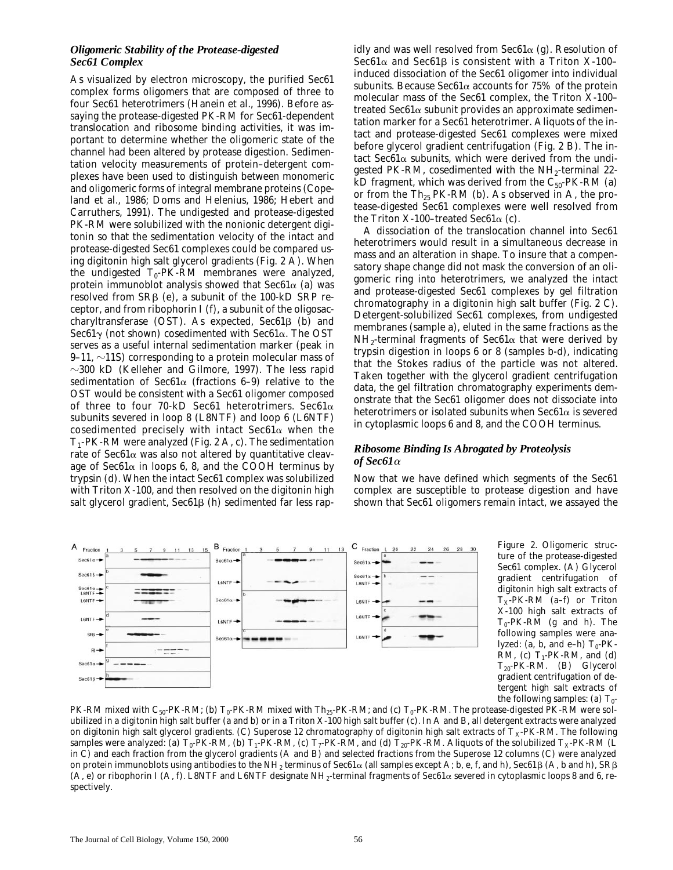# *Oligomeric Stability of the Protease-digested Sec61 Complex*

As visualized by electron microscopy, the purified Sec61 complex forms oligomers that are composed of three to four Sec61 heterotrimers (Hanein et al., 1996). Before assaying the protease-digested PK-RM for Sec61-dependent translocation and ribosome binding activities, it was important to determine whether the oligomeric state of the channel had been altered by protease digestion. Sedimentation velocity measurements of protein–detergent complexes have been used to distinguish between monomeric and oligomeric forms of integral membrane proteins (Copeland et al., 1986; Doms and Helenius, 1986; Hebert and Carruthers, 1991). The undigested and protease-digested PK-RM were solubilized with the nonionic detergent digitonin so that the sedimentation velocity of the intact and protease-digested Sec61 complexes could be compared using digitonin high salt glycerol gradients (Fig. 2 A). When the undigested  $T_0$ -PK-RM membranes were analyzed, protein immunoblot analysis showed that Sec61 $\alpha$  (a) was resolved from  $SR\beta$  (e), a subunit of the 100-kD SRP receptor, and from ribophorin I (f), a subunit of the oligosaccharyltransferase (OST). As expected,  $Sec61\beta$  (b) and Sec61 $\gamma$  (not shown) cosedimented with Sec61 $\alpha$ . The OST serves as a useful internal sedimentation marker (peak in 9–11,  $\sim$ 11S) corresponding to a protein molecular mass of  $\sim$ 300 kD (Kelleher and Gilmore, 1997). The less rapid sedimentation of Sec61 $\alpha$  (fractions 6–9) relative to the OST would be consistent with a Sec61 oligomer composed of three to four 70-kD Sec61 heterotrimers. Sec61 $\alpha$ subunits severed in loop 8 (L8NTF) and loop 6 (L6NTF) cosedimented precisely with intact Sec61 $\alpha$  when the  $T_1$ -PK-RM were analyzed (Fig. 2 A, c). The sedimentation rate of Sec61 $\alpha$  was also not altered by quantitative cleavage of Sec61 $\alpha$  in loops 6, 8, and the COOH terminus by trypsin (d). When the intact Sec61 complex was solubilized with Triton X-100, and then resolved on the digitonin high salt glycerol gradient,  $\text{Sec61}\beta$  (h) sedimented far less rapidly and was well resolved from Sec $61\alpha$  (g). Resolution of Sec61 $\alpha$  and Sec61 $\beta$  is consistent with a Triton X-100induced dissociation of the Sec61 oligomer into individual subunits. Because Sec61 $\alpha$  accounts for 75% of the protein molecular mass of the Sec61 complex, the Triton X-100– treated Sec61 $\alpha$  subunit provides an approximate sedimentation marker for a Sec61 heterotrimer. Aliquots of the intact and protease-digested Sec61 complexes were mixed before glycerol gradient centrifugation (Fig. 2 B). The intact Sec61 $\alpha$  subunits, which were derived from the undigested PK-RM, cosedimented with the  $NH<sub>2</sub>$ -terminal 22kD fragment, which was derived from the  $C_{50}$ -PK-RM (a) or from the  $Th_{25}$  PK-RM (b). As observed in A, the protease-digested Sec61 complexes were well resolved from the Triton X-100–treated Sec $61\alpha$  (c).

A dissociation of the translocation channel into Sec61 heterotrimers would result in a simultaneous decrease in mass and an alteration in shape. To insure that a compensatory shape change did not mask the conversion of an oligomeric ring into heterotrimers, we analyzed the intact and protease-digested Sec61 complexes by gel filtration chromatography in a digitonin high salt buffer (Fig. 2 C). Detergent-solubilized Sec61 complexes, from undigested membranes (sample a), eluted in the same fractions as the  $NH_2$ -terminal fragments of Sec61 $\alpha$  that were derived by trypsin digestion in loops 6 or 8 (samples b-d), indicating that the Stokes radius of the particle was not altered. Taken together with the glycerol gradient centrifugation data, the gel filtration chromatography experiments demonstrate that the Sec61 oligomer does not dissociate into heterotrimers or isolated subunits when  $\text{Sec61}\alpha$  is severed in cytoplasmic loops 6 and 8, and the COOH terminus.

# *Ribosome Binding Is Abrogated by Proteolysis of Sec61*<sup>a</sup>

Now that we have defined which segments of the Sec61 complex are susceptible to protease digestion and have shown that Sec61 oligomers remain intact, we assayed the



*Figure 2.* Oligomeric structure of the protease-digested Sec61 complex. (A) Glycerol gradient centrifugation of digitonin high salt extracts of  $T<sub>x</sub>-PK-RM$  (a–f) or Triton X-100 high salt extracts of  $T_0$ -PK-RM (g and h). The following samples were analyzed: (a, b, and e–h)  $T_0$ -PK-RM, (c)  $T_1$ -PK-RM, and (d)  $T_{20}$ -PK-RM. (B) Glycerol gradient centrifugation of detergent high salt extracts of the following samples: (a)  $T_0$ -

PK-RM mixed with C<sub>50</sub>-PK-RM; (b)  $T_0$ -PK-RM mixed with Th<sub>25</sub>-PK-RM; and (c)  $T_0$ -PK-RM. The protease-digested PK-RM were solubilized in a digitonin high salt buffer (a and b) or in a Triton X-100 high salt buffer (c). In A and B, all detergent extracts were analyzed on digitonin high salt glycerol gradients. (C) Superose 12 chromatography of digitonin high salt extracts of  $T_X$ -PK-RM. The following samples were analyzed: (a)  $T_0$ -PK-RM, (b)  $T_1$ -PK-RM, (c)  $T_7$ -PK-RM, and (d)  $T_{20}$ -PK-RM. Aliquots of the solubilized  $T_X$ -PK-RM (L) in C) and each fraction from the glycerol gradients (A and B) and selected fractions from the Superose 12 columns (C) were analyzed on protein immunoblots using antibodies to the NH<sub>2</sub> terminus of Sec61 $\alpha$  (all samples except A; b, e, f, and h), Sec61 $\beta$  (A, b and h), SR $\beta$ (A, e) or ribophorin I (A, f). L8NTF and L6NTF designate NH<sub>2</sub>-terminal fragments of Sec61 $\alpha$  severed in cytoplasmic loops 8 and 6, respectively.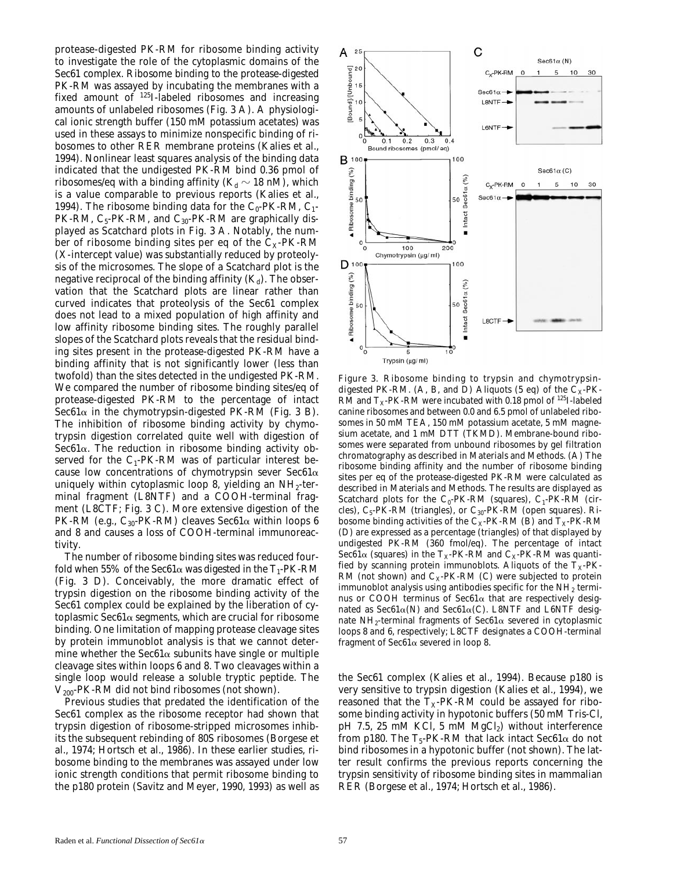protease-digested PK-RM for ribosome binding activity to investigate the role of the cytoplasmic domains of the Sec61 complex. Ribosome binding to the protease-digested PK-RM was assayed by incubating the membranes with a fixed amount of 125I-labeled ribosomes and increasing amounts of unlabeled ribosomes (Fig. 3 A). A physiological ionic strength buffer (150 mM potassium acetates) was used in these assays to minimize nonspecific binding of ribosomes to other RER membrane proteins (Kalies et al., 1994). Nonlinear least squares analysis of the binding data indicated that the undigested PK-RM bind 0.36 pmol of ribosomes/eq with a binding affinity  $(K_d \sim 18 \text{ nM})$ , which is a value comparable to previous reports (Kalies et al., 1994). The ribosome binding data for the  $C_0$ -PK-RM,  $C_1$ -PK-RM,  $C_5$ -PK-RM, and  $C_{30}$ -PK-RM are graphically displayed as Scatchard plots in Fig. 3 A. Notably, the number of ribosome binding sites per eq of the  $C_x$ -PK-RM (X-intercept value) was substantially reduced by proteolysis of the microsomes. The slope of a Scatchard plot is the negative reciprocal of the binding affinity  $(K_d)$ . The observation that the Scatchard plots are linear rather than curved indicates that proteolysis of the Sec61 complex does not lead to a mixed population of high affinity and low affinity ribosome binding sites. The roughly parallel slopes of the Scatchard plots reveals that the residual binding sites present in the protease-digested PK-RM have a binding affinity that is not significantly lower (less than twofold) than the sites detected in the undigested PK-RM. We compared the number of ribosome binding sites/eq of protease-digested PK-RM to the percentage of intact Sec61 $\alpha$  in the chymotrypsin-digested PK-RM (Fig. 3 B). The inhibition of ribosome binding activity by chymotrypsin digestion correlated quite well with digestion of Sec $61\alpha$ . The reduction in ribosome binding activity observed for the  $C_1$ -PK-RM was of particular interest because low concentrations of chymotrypsin sever Sec61 $\alpha$ uniquely within cytoplasmic loop 8, yielding an  $NH_2$ -terminal fragment (L8NTF) and a COOH-terminal fragment (L8CTF; Fig. 3 C). More extensive digestion of the PK-RM (e.g.,  $C_{30}$ -PK-RM) cleaves Sec61 $\alpha$  within loops 6 and 8 and causes a loss of COOH-terminal immunoreactivity.

The number of ribosome binding sites was reduced fourfold when 55% of the Sec61 $\alpha$  was digested in the T<sub>1</sub>-PK-RM (Fig. 3 D). Conceivably, the more dramatic effect of trypsin digestion on the ribosome binding activity of the Sec61 complex could be explained by the liberation of cytoplasmic Sec $61\alpha$  segments, which are crucial for ribosome binding. One limitation of mapping protease cleavage sites by protein immunoblot analysis is that we cannot determine whether the Sec61 $\alpha$  subunits have single or multiple cleavage sites within loops 6 and 8. Two cleavages within a single loop would release a soluble tryptic peptide. The  $V_{200}$ -PK-RM did not bind ribosomes (not shown).

Previous studies that predated the identification of the Sec61 complex as the ribosome receptor had shown that trypsin digestion of ribosome-stripped microsomes inhibits the subsequent rebinding of 80S ribosomes (Borgese et al., 1974; Hortsch et al., 1986). In these earlier studies, ribosome binding to the membranes was assayed under low ionic strength conditions that permit ribosome binding to the p180 protein (Savitz and Meyer, 1990, 1993) as well as



*Figure 3.* Ribosome binding to trypsin and chymotrypsindigested PK-RM. (A, B, and D) Aliquots (5 eq) of the  $C_X$ -PK-RM and  $T_x$ -PK-RM were incubated with 0.18 pmol of <sup>125</sup>I-labeled canine ribosomes and between 0.0 and 6.5 pmol of unlabeled ribosomes in 50 mM TEA, 150 mM potassium acetate, 5 mM magnesium acetate, and 1 mM DTT (TKMD). Membrane-bound ribosomes were separated from unbound ribosomes by gel filtration chromatography as described in Materials and Methods. (A) The ribosome binding affinity and the number of ribosome binding sites per eq of the protease-digested PK-RM were calculated as described in Materials and Methods. The results are displayed as Scatchard plots for the C<sub>0</sub>-PK-RM (squares), C<sub>1</sub>-PK-RM (circles),  $C_5$ -PK-RM (triangles), or  $C_{30}$ -PK-RM (open squares). Ribosome binding activities of the  $C_x$ -PK-RM (B) and  $T_x$ -PK-RM (D) are expressed as a percentage (triangles) of that displayed by undigested PK-RM (360 fmol/eq). The percentage of intact Sec61 $\alpha$  (squares) in the T<sub>X</sub>-PK-RM and C<sub>X</sub>-PK-RM was quantified by scanning protein immunoblots. Aliquots of the  $T<sub>X</sub>$ -PK-RM (not shown) and  $C_x$ -PK-RM (C) were subjected to protein immunoblot analysis using antibodies specific for the  $NH<sub>2</sub>$  terminus or COOH terminus of Sec $61\alpha$  that are respectively designated as Sec61 $\alpha$ (N) and Sec61 $\alpha$ (C). L8NTF and L6NTF designate NH<sub>2</sub>-terminal fragments of Sec61 $\alpha$  severed in cytoplasmic loops 8 and 6, respectively; L8CTF designates a COOH-terminal fragment of Sec $61\alpha$  severed in loop 8.

the Sec61 complex (Kalies et al., 1994). Because p180 is very sensitive to trypsin digestion (Kalies et al., 1994), we reasoned that the  $T_X-PK-RM$  could be assayed for ribosome binding activity in hypotonic buffers (50 mM Tris-Cl,  $pH$  7.5, 25 mM KCl, 5 mM MgCl<sub>2</sub>) without interference from p180. The  $T_5$ -PK-RM that lack intact Sec61 $\alpha$  do not bind ribosomes in a hypotonic buffer (not shown). The latter result confirms the previous reports concerning the trypsin sensitivity of ribosome binding sites in mammalian RER (Borgese et al., 1974; Hortsch et al., 1986).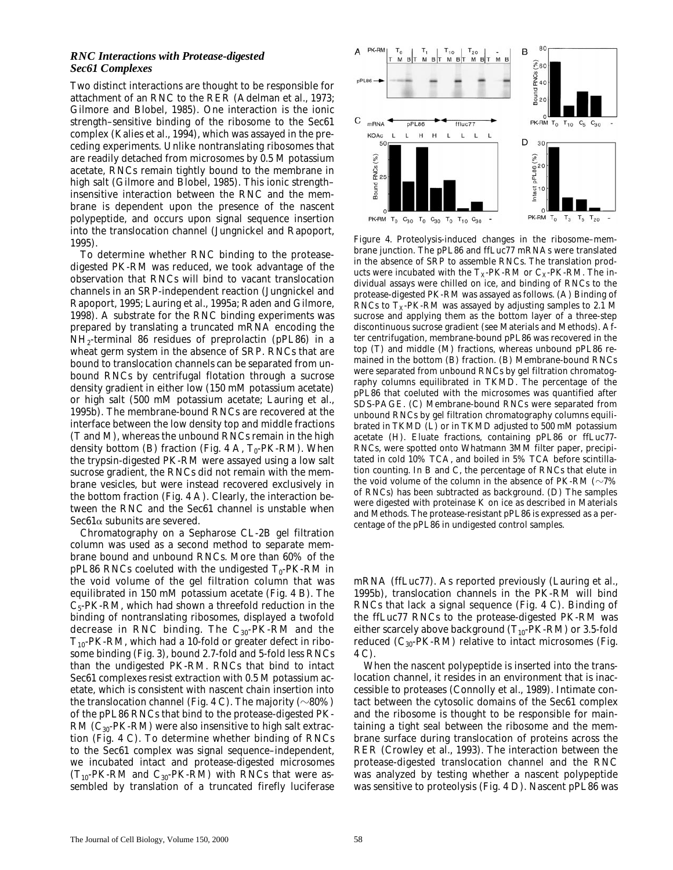#### *RNC Interactions with Protease-digested Sec61 Complexes*

Two distinct interactions are thought to be responsible for attachment of an RNC to the RER (Adelman et al., 1973; Gilmore and Blobel, 1985). One interaction is the ionic strength–sensitive binding of the ribosome to the Sec61 complex (Kalies et al., 1994), which was assayed in the preceding experiments. Unlike nontranslating ribosomes that are readily detached from microsomes by 0.5 M potassium acetate, RNCs remain tightly bound to the membrane in high salt (Gilmore and Blobel, 1985). This ionic strength– insensitive interaction between the RNC and the membrane is dependent upon the presence of the nascent polypeptide, and occurs upon signal sequence insertion into the translocation channel (Jungnickel and Rapoport, 1995).

To determine whether RNC binding to the proteasedigested PK-RM was reduced, we took advantage of the observation that RNCs will bind to vacant translocation channels in an SRP-independent reaction (Jungnickel and Rapoport, 1995; Lauring et al., 1995a; Raden and Gilmore, 1998). A substrate for the RNC binding experiments was prepared by translating a truncated mRNA encoding the NH2-terminal 86 residues of preprolactin (pPL86) in a wheat germ system in the absence of SRP. RNCs that are bound to translocation channels can be separated from unbound RNCs by centrifugal flotation through a sucrose density gradient in either low (150 mM potassium acetate) or high salt (500 mM potassium acetate; Lauring et al., 1995b). The membrane-bound RNCs are recovered at the interface between the low density top and middle fractions (T and M), whereas the unbound RNCs remain in the high density bottom (B) fraction (Fig. 4 A,  $T_0$ -PK-RM). When the trypsin-digested PK-RM were assayed using a low salt sucrose gradient, the RNCs did not remain with the membrane vesicles, but were instead recovered exclusively in the bottom fraction (Fig. 4 A). Clearly, the interaction between the RNC and the Sec61 channel is unstable when  $Sec61\alpha$  subunits are severed.

Chromatography on a Sepharose CL-2B gel filtration column was used as a second method to separate membrane bound and unbound RNCs. More than 60% of the pPL86 RNCs coeluted with the undigested  $T_0$ -PK-RM in the void volume of the gel filtration column that was equilibrated in 150 mM potassium acetate (Fig. 4 B). The  $C_5$ -PK-RM, which had shown a threefold reduction in the binding of nontranslating ribosomes, displayed a twofold decrease in RNC binding. The  $C_{30}$ -PK-RM and the  $T_{10}$ -PK-RM, which had a 10-fold or greater defect in ribosome binding (Fig. 3), bound 2.7-fold and 5-fold less RNCs than the undigested PK-RM. RNCs that bind to intact Sec61 complexes resist extraction with 0.5 M potassium acetate, which is consistent with nascent chain insertion into the translocation channel (Fig. 4 C). The majority ( $\sim$ 80%) of the pPL86 RNCs that bind to the protease-digested PK- $RM (C_{30}$ -PK-RM) were also insensitive to high salt extraction (Fig. 4 C). To determine whether binding of RNCs to the Sec61 complex was signal sequence–independent, we incubated intact and protease-digested microsomes  $(T_{10}-PK-RM)$  and  $C_{30}-PK-RM$ ) with RNCs that were assembled by translation of a truncated firefly luciferase



*Figure 4.* Proteolysis-induced changes in the ribosome–membrane junction. The pPL86 and ffLuc77 mRNAs were translated in the absence of SRP to assemble RNCs. The translation products were incubated with the  $T_X-PK-RM$  or  $C_X-PK-RM$ . The individual assays were chilled on ice, and binding of RNCs to the protease-digested PK-RM was assayed as follows. (A) Binding of RNCs to  $T_X$ -PK-RM was assayed by adjusting samples to 2.1 M sucrose and applying them as the bottom layer of a three-step discontinuous sucrose gradient (see Materials and Methods). After centrifugation, membrane-bound pPL86 was recovered in the top (T) and middle (M) fractions, whereas unbound pPL86 remained in the bottom (B) fraction. (B) Membrane-bound RNCs were separated from unbound RNCs by gel filtration chromatography columns equilibrated in TKMD. The percentage of the pPL86 that coeluted with the microsomes was quantified after SDS-PAGE. (C) Membrane-bound RNCs were separated from unbound RNCs by gel filtration chromatography columns equilibrated in TKMD (L) or in TKMD adjusted to 500 mM potassium acetate (H). Eluate fractions, containing pPL86 or ffLuc77- RNCs, were spotted onto Whatmann 3MM filter paper, precipitated in cold 10% TCA, and boiled in 5% TCA before scintillation counting. In B and C, the percentage of RNCs that elute in the void volume of the column in the absence of PK-RM ( $\sim$ 7%) of RNCs) has been subtracted as background. (D) The samples were digested with proteinase K on ice as described in Materials and Methods. The protease-resistant pPL86 is expressed as a percentage of the pPL86 in undigested control samples.

mRNA (ffLuc77). As reported previously (Lauring et al., 1995b), translocation channels in the PK-RM will bind RNCs that lack a signal sequence (Fig. 4 C). Binding of the ffLuc77 RNCs to the protease-digested PK-RM was either scarcely above background  $(T_{10}$ -PK-RM) or 3.5-fold reduced  $(C_{30}$ -PK-RM) relative to intact microsomes (Fig. 4 C).

When the nascent polypeptide is inserted into the translocation channel, it resides in an environment that is inaccessible to proteases (Connolly et al., 1989). Intimate contact between the cytosolic domains of the Sec61 complex and the ribosome is thought to be responsible for maintaining a tight seal between the ribosome and the membrane surface during translocation of proteins across the RER (Crowley et al., 1993). The interaction between the protease-digested translocation channel and the RNC was analyzed by testing whether a nascent polypeptide was sensitive to proteolysis (Fig. 4 D). Nascent pPL86 was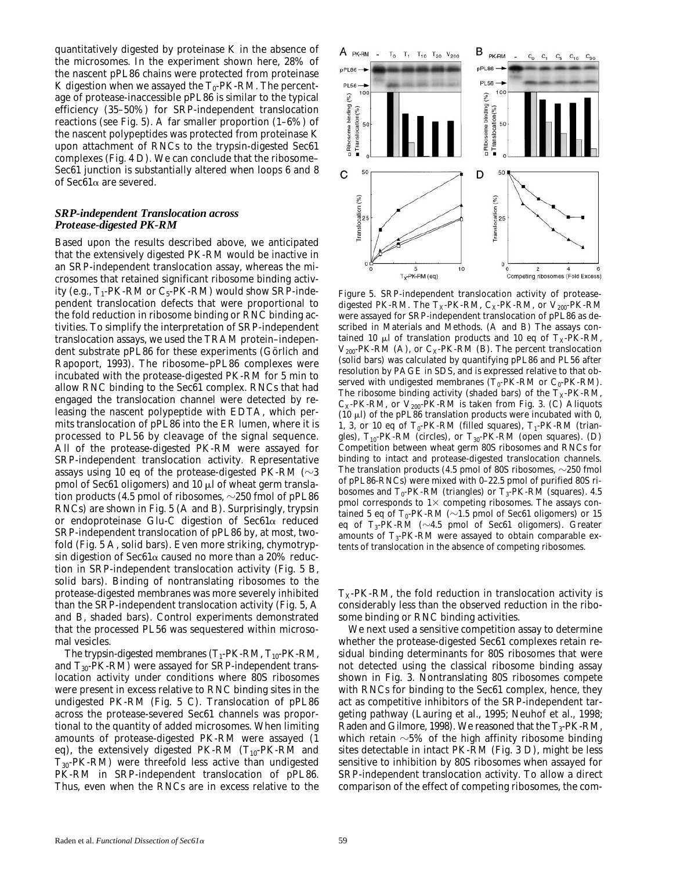quantitatively digested by proteinase K in the absence of the microsomes. In the experiment shown here, 28% of the nascent pPL86 chains were protected from proteinase K digestion when we assayed the  $T_0$ -PK-RM. The percentage of protease-inaccessible pPL86 is similar to the typical efficiency (35–50%) for SRP-independent translocation reactions (see Fig. 5). A far smaller proportion (1–6%) of the nascent polypeptides was protected from proteinase K upon attachment of RNCs to the trypsin-digested Sec61 complexes (Fig. 4 D). We can conclude that the ribosome– Sec61 junction is substantially altered when loops 6 and 8 of Sec61a are severed.

# *SRP-independent Translocation across Protease-digested PK-RM*

Based upon the results described above, we anticipated that the extensively digested PK-RM would be inactive in an SRP-independent translocation assay, whereas the microsomes that retained significant ribosome binding activity (e.g.,  $T_1$ -PK-RM or  $C_5$ -PK-RM) would show SRP-independent translocation defects that were proportional to the fold reduction in ribosome binding or RNC binding activities. To simplify the interpretation of SRP-independent translocation assays, we used the TRAM protein–independent substrate pPL86 for these experiments (Görlich and Rapoport, 1993). The ribosome–pPL86 complexes were incubated with the protease-digested PK-RM for 5 min to allow RNC binding to the Sec61 complex. RNCs that had engaged the translocation channel were detected by releasing the nascent polypeptide with EDTA, which permits translocation of pPL86 into the ER lumen, where it is processed to PL56 by cleavage of the signal sequence. All of the protease-digested PK-RM were assayed for SRP-independent translocation activity. Representative assays using 10 eq of the protease-digested PK-RM  $(\sim]3$ pmol of Sec61 oligomers) and 10  $\mu$ l of wheat germ translation products (4.5 pmol of ribosomes,  $\sim$ 250 fmol of pPL86 RNCs) are shown in Fig. 5 (A and B). Surprisingly, trypsin or endoproteinase Glu-C digestion of  $\text{Sec61}\alpha$  reduced SRP-independent translocation of pPL86 by, at most, twofold (Fig. 5 A, solid bars). Even more striking, chymotrypsin digestion of Sec61 $\alpha$  caused no more than a 20% reduction in SRP-independent translocation activity (Fig. 5 B, solid bars). Binding of nontranslating ribosomes to the protease-digested membranes was more severely inhibited than the SRP-independent translocation activity (Fig. 5, A and B, shaded bars). Control experiments demonstrated that the processed PL56 was sequestered within microsomal vesicles.

The trypsin-digested membranes  $(T_1-PK-RM, T_{10}-PK-RM, T_{11})$ and  $T_{30}$ -PK-RM) were assayed for SRP-independent translocation activity under conditions where 80S ribosomes were present in excess relative to RNC binding sites in the undigested PK-RM (Fig. 5 C). Translocation of pPL86 across the protease-severed Sec61 channels was proportional to the quantity of added microsomes. When limiting amounts of protease-digested PK-RM were assayed (1 eq), the extensively digested PK-RM  $(T_{10}$ -PK-RM and  $T_{30}$ -PK-RM) were threefold less active than undigested PK-RM in SRP-independent translocation of pPL86. Thus, even when the RNCs are in excess relative to the



*Figure 5.* SRP-independent translocation activity of proteasedigested PK-RM. The  $T_X$ -PK-RM,  $C_X$ -PK-RM, or  $V_{200}$ -PK-RM were assayed for SRP-independent translocation of pPL86 as described in Materials and Methods. (A and B) The assays contained 10  $\mu$ l of translation products and 10 eq of T<sub>X</sub>-PK-RM,  $V_{200}$ -PK-RM (A), or  $C_X$ -PK-RM (B). The percent translocation (solid bars) was calculated by quantifying pPL86 and PL56 after resolution by PAGE in SDS, and is expressed relative to that observed with undigested membranes  $(T_0$ -PK-RM or  $C_0$ -PK-RM). The ribosome binding activity (shaded bars) of the  $T_X$ -PK-RM,  $C_X$ -PK-RM, or  $V_{200}$ -PK-RM is taken from Fig. 3. (C) Aliquots (10  $\mu$ l) of the pPL86 translation products were incubated with 0, 1, 3, or 10 eq of  $T_0$ -PK-RM (filled squares),  $T_1$ -PK-RM (triangles),  $T_{10}$ -PK-RM (circles), or  $T_{30}$ -PK-RM (open squares). (D) Competition between wheat germ 80S ribosomes and RNCs for binding to intact and protease-digested translocation channels. The translation products (4.5 pmol of 80S ribosomes,  $\sim$ 250 fmol of pPL86-RNCs) were mixed with 0–22.5 pmol of purified 80S ribosomes and  $T_0$ -PK-RM (triangles) or  $T_3$ -PK-RM (squares). 4.5 pmol corresponds to  $1\times$  competing ribosomes. The assays contained 5 eq of  $T_0$ -PK-RM ( $\sim$ 1.5 pmol of Sec61 oligomers) or 15 eq of T<sub>3</sub>-PK-RM ( $\sim$ 4.5 pmol of Sec61 oligomers). Greater amounts of  $T_3$ -PK-RM were assayed to obtain comparable extents of translocation in the absence of competing ribosomes.

 $T<sub>x</sub>$ -PK-RM, the fold reduction in translocation activity is considerably less than the observed reduction in the ribosome binding or RNC binding activities.

We next used a sensitive competition assay to determine whether the protease-digested Sec61 complexes retain residual binding determinants for 80S ribosomes that were not detected using the classical ribosome binding assay shown in Fig. 3. Nontranslating 80S ribosomes compete with RNCs for binding to the Sec61 complex, hence, they act as competitive inhibitors of the SRP-independent targeting pathway (Lauring et al., 1995; Neuhof et al., 1998; Raden and Gilmore, 1998). We reasoned that the  $T_3$ -PK-RM, which retain  $\sim$ 5% of the high affinity ribosome binding sites detectable in intact PK-RM (Fig. 3 D), might be less sensitive to inhibition by 80S ribosomes when assayed for SRP-independent translocation activity. To allow a direct comparison of the effect of competing ribosomes, the com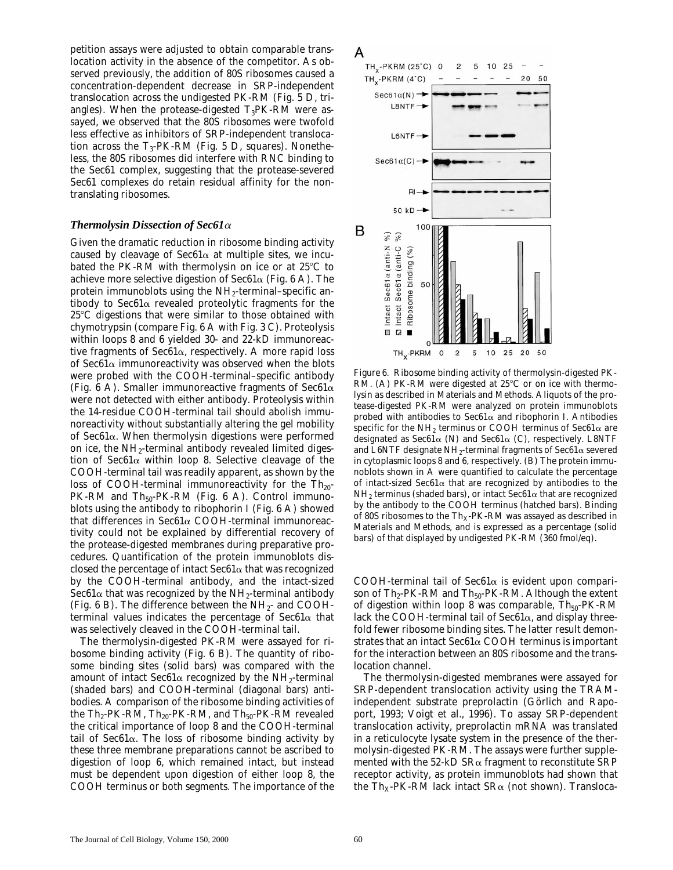petition assays were adjusted to obtain comparable translocation activity in the absence of the competitor. As observed previously, the addition of 80S ribosomes caused a concentration-dependent decrease in SRP-independent translocation across the undigested PK-RM (Fig. 5 D, triangles). When the protease-digested  $T_3$ PK-RM were assayed, we observed that the 80S ribosomes were twofold less effective as inhibitors of SRP-independent translocation across the  $T_3$ -PK-RM (Fig. 5 D, squares). Nonetheless, the 80S ribosomes did interfere with RNC binding to the Sec61 complex, suggesting that the protease-severed Sec61 complexes do retain residual affinity for the nontranslating ribosomes.

### *Thermolysin Dissection of Sec61*<sup>a</sup>

Given the dramatic reduction in ribosome binding activity caused by cleavage of  $\text{Sec61}\alpha$  at multiple sites, we incubated the PK-RM with thermolysin on ice or at  $25^{\circ}$ C to achieve more selective digestion of Sec61 $\alpha$  (Fig. 6 A). The protein immunoblots using the  $NH<sub>2</sub>$ -terminal–specific antibody to Sec61 $\alpha$  revealed proteolytic fragments for the  $25^{\circ}$ C digestions that were similar to those obtained with chymotrypsin (compare Fig. 6 A with Fig. 3 C). Proteolysis within loops 8 and 6 yielded 30- and 22-kD immunoreactive fragments of Sec $61\alpha$ , respectively. A more rapid loss of  $\text{Sec61}\alpha$  immunoreactivity was observed when the blots were probed with the COOH-terminal–specific antibody (Fig. 6 A). Smaller immunoreactive fragments of Sec61 $\alpha$ were not detected with either antibody. Proteolysis within the 14-residue COOH-terminal tail should abolish immunoreactivity without substantially altering the gel mobility of  $\text{Sec61}\alpha$ . When thermolysin digestions were performed on ice, the  $NH_2$ -terminal antibody revealed limited digestion of Sec61 $\alpha$  within loop 8. Selective cleavage of the COOH-terminal tail was readily apparent, as shown by the loss of COOH-terminal immunoreactivity for the  $Th_{20}$ -PK-RM and  $Th<sub>50</sub>-PK-RM$  (Fig. 6 A). Control immunoblots using the antibody to ribophorin I (Fig. 6 A) showed that differences in Sec $61\alpha$  COOH-terminal immunoreactivity could not be explained by differential recovery of the protease-digested membranes during preparative procedures. Quantification of the protein immunoblots disclosed the percentage of intact  $\text{Sec61}\alpha$  that was recognized by the COOH-terminal antibody, and the intact-sized Sec61 $\alpha$  that was recognized by the NH<sub>2</sub>-terminal antibody (Fig. 6 B). The difference between the  $NH_{2}$ - and COOHterminal values indicates the percentage of Sec61 $\alpha$  that was selectively cleaved in the COOH-terminal tail.

The thermolysin-digested PK-RM were assayed for ribosome binding activity (Fig. 6 B). The quantity of ribosome binding sites (solid bars) was compared with the amount of intact Sec61 $\alpha$  recognized by the NH<sub>2</sub>-terminal (shaded bars) and COOH-terminal (diagonal bars) antibodies. A comparison of the ribosome binding activities of the  $Th_2$ -PK-RM,  $Th_{20}$ -PK-RM, and  $Th_{50}$ -PK-RM revealed the critical importance of loop 8 and the COOH-terminal tail of Sec61a. The loss of ribosome binding activity by these three membrane preparations cannot be ascribed to digestion of loop 6, which remained intact, but instead must be dependent upon digestion of either loop 8, the COOH terminus or both segments. The importance of the



*Figure 6.* Ribosome binding activity of thermolysin-digested PK-RM. (A) PK-RM were digested at  $25^{\circ}$ C or on ice with thermolysin as described in Materials and Methods. Aliquots of the protease-digested PK-RM were analyzed on protein immunoblots probed with antibodies to Sec $61\alpha$  and ribophorin I. Antibodies specific for the NH<sub>2</sub> terminus or COOH terminus of Sec61 $\alpha$  are designated as Sec61 $\alpha$  (N) and Sec61 $\alpha$  (C), respectively. L8NTF and L6NTF designate NH<sub>2</sub>-terminal fragments of Sec61 $\alpha$  severed in cytoplasmic loops 8 and 6, respectively. (B) The protein immunoblots shown in A were quantified to calculate the percentage of intact-sized Sec61 $\alpha$  that are recognized by antibodies to the NH<sub>2</sub> terminus (shaded bars), or intact Sec61 $\alpha$  that are recognized by the antibody to the COOH terminus (hatched bars). Binding of 80S ribosomes to the  $\mathrm{Th}_X\text{-PK-RM}$  was assayed as described in Materials and Methods, and is expressed as a percentage (solid bars) of that displayed by undigested PK-RM (360 fmol/eq).

COOH-terminal tail of Sec $61\alpha$  is evident upon comparison of  $Th_2$ -PK-RM and  $Th_{50}$ -PK-RM. Although the extent of digestion within loop 8 was comparable,  $Th_{50}$ -PK-RM lack the COOH-terminal tail of  $\text{Sec61}\alpha$ , and display threefold fewer ribosome binding sites. The latter result demonstrates that an intact  $\text{Sec61}\alpha$  COOH terminus is important for the interaction between an 80S ribosome and the translocation channel.

The thermolysin-digested membranes were assayed for SRP-dependent translocation activity using the TRAMindependent substrate preprolactin (Görlich and Rapoport, 1993; Voigt et al., 1996). To assay SRP-dependent translocation activity, preprolactin mRNA was translated in a reticulocyte lysate system in the presence of the thermolysin-digested PK-RM. The assays were further supplemented with the 52-kD  $SR\alpha$  fragment to reconstitute SRP receptor activity, as protein immunoblots had shown that the Th<sub>x</sub>-PK-RM lack intact SR $\alpha$  (not shown). Transloca-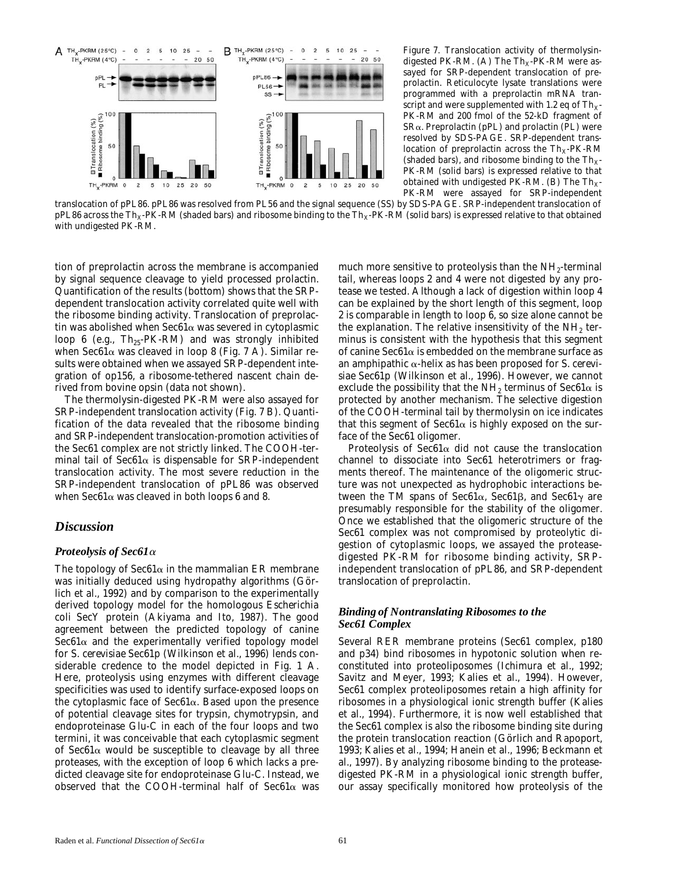

*Figure 7.* Translocation activity of thermolysindigested PK-RM. (A) The  $Th_X-PK-RM$  were assayed for SRP-dependent translocation of preprolactin. Reticulocyte lysate translations were programmed with a preprolactin mRNA transcript and were supplemented with 1.2 eq of  $Th_{x}$ -PK-RM and 200 fmol of the 52-kD fragment of  $S$ R $\alpha$ . Preprolactin (pPL) and prolactin (PL) were resolved by SDS-PAGE. SRP-dependent translocation of preprolactin across the  $Th_X-PK-RM$ (shaded bars), and ribosome binding to the  $Th<sub>x</sub>$ -PK-RM (solid bars) is expressed relative to that obtained with undigested PK-RM. (B) The  $Th_{X^-}$ PK-RM were assayed for SRP-independent

translocation of pPL86. pPL86 was resolved from PL56 and the signal sequence (SS) by SDS-PAGE. SRP-independent translocation of pPL86 across the Th<sub>X</sub>-PK-RM (shaded bars) and ribosome binding to the Th<sub>X</sub>-PK-RM (solid bars) is expressed relative to that obtained with undigested PK-RM.

tion of preprolactin across the membrane is accompanied by signal sequence cleavage to yield processed prolactin. Quantification of the results (bottom) shows that the SRPdependent translocation activity correlated quite well with the ribosome binding activity. Translocation of preprolactin was abolished when  $\text{Sec61}\alpha$  was severed in cytoplasmic loop 6 (e.g.,  $Th_{25}$ -PK-RM) and was strongly inhibited when Sec61 $\alpha$  was cleaved in loop 8 (Fig. 7 A). Similar results were obtained when we assayed SRP-dependent integration of op156, a ribosome-tethered nascent chain derived from bovine opsin (data not shown).

The thermolysin-digested PK-RM were also assayed for SRP-independent translocation activity (Fig. 7 B). Quantification of the data revealed that the ribosome binding and SRP-independent translocation-promotion activities of the Sec61 complex are not strictly linked. The COOH-terminal tail of  $\text{Sec61}\alpha$  is dispensable for SRP-independent translocation activity. The most severe reduction in the SRP-independent translocation of pPL86 was observed when Sec61 $\alpha$  was cleaved in both loops 6 and 8.

# *Discussion*

# *Proteolysis of Sec61*<sup>a</sup>

The topology of  $\text{Sec61}\alpha$  in the mammalian ER membrane was initially deduced using hydropathy algorithms (Görlich et al., 1992) and by comparison to the experimentally derived topology model for the homologous *Escherichia coli* SecY protein (Akiyama and Ito, 1987). The good agreement between the predicted topology of canine  $Sec61\alpha$  and the experimentally verified topology model for *S*. *cerevisiae* Sec61p (Wilkinson et al., 1996) lends considerable credence to the model depicted in Fig. 1 A. Here, proteolysis using enzymes with different cleavage specificities was used to identify surface-exposed loops on the cytoplasmic face of  $\text{Sec61}\alpha$ . Based upon the presence of potential cleavage sites for trypsin, chymotrypsin, and endoproteinase Glu-C in each of the four loops and two termini, it was conceivable that each cytoplasmic segment of  $\text{Sec61}\alpha$  would be susceptible to cleavage by all three proteases, with the exception of loop 6 which lacks a predicted cleavage site for endoproteinase Glu-C. Instead, we observed that the COOH-terminal half of Sec61 $\alpha$  was

much more sensitive to proteolysis than the  $NH_2$ -terminal tail, whereas loops 2 and 4 were not digested by any protease we tested. Although a lack of digestion within loop 4 can be explained by the short length of this segment, loop 2 is comparable in length to loop 6, so size alone cannot be the explanation. The relative insensitivity of the  $NH<sub>2</sub>$  terminus is consistent with the hypothesis that this segment of canine Sec61 $\alpha$  is embedded on the membrane surface as an amphipathic a-helix as has been proposed for *S*. *cerevisiae* Sec61p (Wilkinson et al., 1996). However, we cannot exclude the possibility that the NH<sub>2</sub> terminus of Sec61 $\alpha$  is protected by another mechanism. The selective digestion of the COOH-terminal tail by thermolysin on ice indicates that this segment of  $\text{Sec61}\alpha$  is highly exposed on the surface of the Sec61 oligomer.

Proteolysis of Sec61 $\alpha$  did not cause the translocation channel to dissociate into Sec61 heterotrimers or fragments thereof. The maintenance of the oligomeric structure was not unexpected as hydrophobic interactions between the TM spans of Sec61 $\alpha$ , Sec61 $\beta$ , and Sec61 $\gamma$  are presumably responsible for the stability of the oligomer. Once we established that the oligomeric structure of the Sec61 complex was not compromised by proteolytic digestion of cytoplasmic loops, we assayed the proteasedigested PK-RM for ribosome binding activity, SRPindependent translocation of pPL86, and SRP-dependent translocation of preprolactin.

# *Binding of Nontranslating Ribosomes to the Sec61 Complex*

Several RER membrane proteins (Sec61 complex, p180 and p34) bind ribosomes in hypotonic solution when reconstituted into proteoliposomes (Ichimura et al., 1992; Savitz and Meyer, 1993; Kalies et al., 1994). However, Sec61 complex proteoliposomes retain a high affinity for ribosomes in a physiological ionic strength buffer (Kalies et al., 1994). Furthermore, it is now well established that the Sec61 complex is also the ribosome binding site during the protein translocation reaction (Görlich and Rapoport, 1993; Kalies et al., 1994; Hanein et al., 1996; Beckmann et al., 1997). By analyzing ribosome binding to the proteasedigested PK-RM in a physiological ionic strength buffer, our assay specifically monitored how proteolysis of the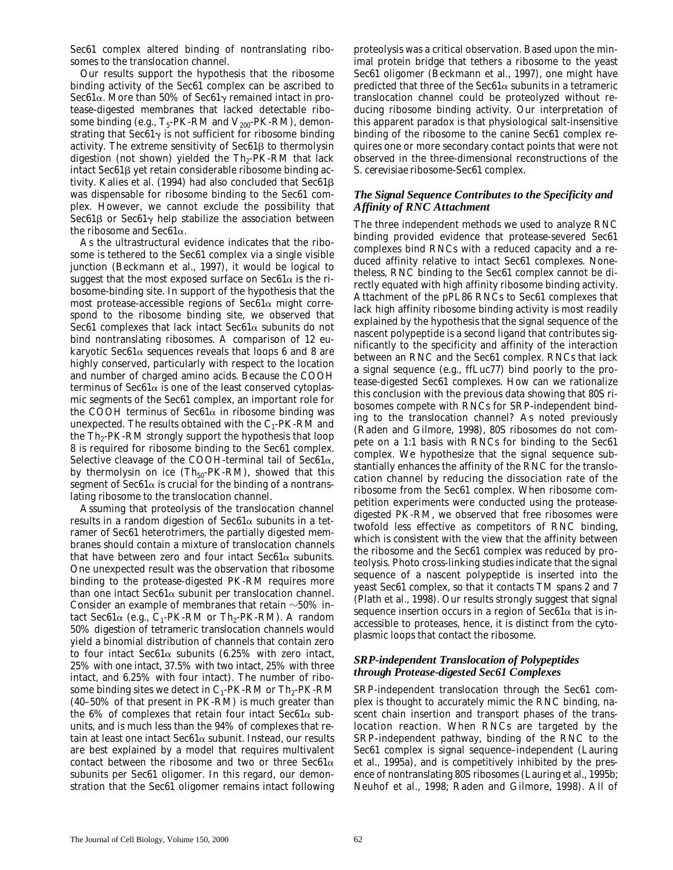Sec61 complex altered binding of nontranslating ribosomes to the translocation channel.

Our results support the hypothesis that the ribosome binding activity of the Sec61 complex can be ascribed to Sec61 $\alpha$ . More than 50% of Sec61 $\gamma$  remained intact in protease-digested membranes that lacked detectable ribosome binding (e.g.,  $T_5$ -PK-RM and  $V_{200}$ -PK-RM), demonstrating that Sec $61\gamma$  is not sufficient for ribosome binding activity. The extreme sensitivity of  $\text{Sec61}\beta$  to thermolysin digestion (not shown) yielded the  $Th_2-PK-RM$  that lack intact  $\text{Sec61}\beta$  yet retain considerable ribosome binding activity. Kalies et al. (1994) had also concluded that  $Sec61\beta$ was dispensable for ribosome binding to the Sec61 complex. However, we cannot exclude the possibility that Sec61 $\beta$  or Sec61 $\gamma$  help stabilize the association between the ribosome and Sec $61\alpha$ .

As the ultrastructural evidence indicates that the ribosome is tethered to the Sec61 complex via a single visible junction (Beckmann et al., 1997), it would be logical to suggest that the most exposed surface on  $\text{Sec61}\alpha$  is the ribosome-binding site. In support of the hypothesis that the most protease-accessible regions of  $\text{Sec61}\alpha$  might correspond to the ribosome binding site, we observed that Sec61 complexes that lack intact Sec61 $\alpha$  subunits do not bind nontranslating ribosomes. A comparison of 12 eukaryotic Sec61 $\alpha$  sequences reveals that loops 6 and 8 are highly conserved, particularly with respect to the location and number of charged amino acids. Because the COOH terminus of  $\text{Sec61}\alpha$  is one of the least conserved cytoplasmic segments of the Sec61 complex, an important role for the COOH terminus of Sec61 $\alpha$  in ribosome binding was unexpected. The results obtained with the  $C_1$ -PK-RM and the  $Th_2$ -PK-RM strongly support the hypothesis that loop 8 is required for ribosome binding to the Sec61 complex. Selective cleavage of the COOH-terminal tail of  $Sec61\alpha$ , by thermolysin on ice  $(Th<sub>50</sub>-PK-RM)$ , showed that this segment of  $\text{Sec61}\alpha$  is crucial for the binding of a nontranslating ribosome to the translocation channel.

Assuming that proteolysis of the translocation channel results in a random digestion of  $\text{Sec61}\alpha$  subunits in a tetramer of Sec61 heterotrimers, the partially digested membranes should contain a mixture of translocation channels that have between zero and four intact Sec61 $\alpha$  subunits. One unexpected result was the observation that ribosome binding to the protease-digested PK-RM requires more than one intact Sec61 $\alpha$  subunit per translocation channel. Consider an example of membranes that retain  $\sim$ 50% intact Sec61 $\alpha$  (e.g., C<sub>1</sub>-PK-RM or Th<sub>2</sub>-PK-RM). A random 50% digestion of tetrameric translocation channels would yield a binomial distribution of channels that contain zero to four intact Sec61 $\alpha$  subunits (6.25% with zero intact, 25% with one intact, 37.5% with two intact, 25% with three intact, and 6.25% with four intact). The number of ribosome binding sites we detect in  $C_1$ -PK-RM or Th<sub>2</sub>-PK-RM (40–50% of that present in PK-RM) is much greater than the 6% of complexes that retain four intact Sec61 $\alpha$  subunits, and is much less than the 94% of complexes that retain at least one intact  $\text{Sec61}\alpha$  subunit. Instead, our results are best explained by a model that requires multivalent contact between the ribosome and two or three Sec61 $\alpha$ subunits per Sec61 oligomer. In this regard, our demonstration that the Sec61 oligomer remains intact following

proteolysis was a critical observation. Based upon the minimal protein bridge that tethers a ribosome to the yeast Sec61 oligomer (Beckmann et al., 1997), one might have predicted that three of the Sec61 $\alpha$  subunits in a tetrameric translocation channel could be proteolyzed without reducing ribosome binding activity. Our interpretation of this apparent paradox is that physiological salt-insensitive binding of the ribosome to the canine Sec61 complex requires one or more secondary contact points that were not observed in the three-dimensional reconstructions of the *S*. *cerevisiae* ribosome-Sec61 complex.

# *The Signal Sequence Contributes to the Specificity and Affinity of RNC Attachment*

The three independent methods we used to analyze RNC binding provided evidence that protease-severed Sec61 complexes bind RNCs with a reduced capacity and a reduced affinity relative to intact Sec61 complexes. Nonetheless, RNC binding to the Sec61 complex cannot be directly equated with high affinity ribosome binding activity. Attachment of the pPL86 RNCs to Sec61 complexes that lack high affinity ribosome binding activity is most readily explained by the hypothesis that the signal sequence of the nascent polypeptide is a second ligand that contributes significantly to the specificity and affinity of the interaction between an RNC and the Sec61 complex. RNCs that lack a signal sequence (e.g., ffLuc77) bind poorly to the protease-digested Sec61 complexes. How can we rationalize this conclusion with the previous data showing that 80S ribosomes compete with RNCs for SRP-independent binding to the translocation channel? As noted previously (Raden and Gilmore, 1998), 80S ribosomes do not compete on a 1:1 basis with RNCs for binding to the Sec61 complex. We hypothesize that the signal sequence substantially enhances the affinity of the RNC for the translocation channel by reducing the dissociation rate of the ribosome from the Sec61 complex. When ribosome competition experiments were conducted using the proteasedigested PK-RM, we observed that free ribosomes were twofold less effective as competitors of RNC binding, which is consistent with the view that the affinity between the ribosome and the Sec61 complex was reduced by proteolysis. Photo cross-linking studies indicate that the signal sequence of a nascent polypeptide is inserted into the yeast Sec61 complex, so that it contacts TM spans 2 and 7 (Plath et al., 1998). Our results strongly suggest that signal sequence insertion occurs in a region of  $\text{Sec61}\alpha$  that is inaccessible to proteases, hence, it is distinct from the cytoplasmic loops that contact the ribosome.

# *SRP-independent Translocation of Polypeptides through Protease-digested Sec61 Complexes*

SRP-independent translocation through the Sec61 complex is thought to accurately mimic the RNC binding, nascent chain insertion and transport phases of the translocation reaction. When RNCs are targeted by the SRP-independent pathway, binding of the RNC to the Sec61 complex is signal sequence–independent (Lauring et al., 1995a), and is competitively inhibited by the presence of nontranslating 80S ribosomes (Lauring et al., 1995b; Neuhof et al., 1998; Raden and Gilmore, 1998). All of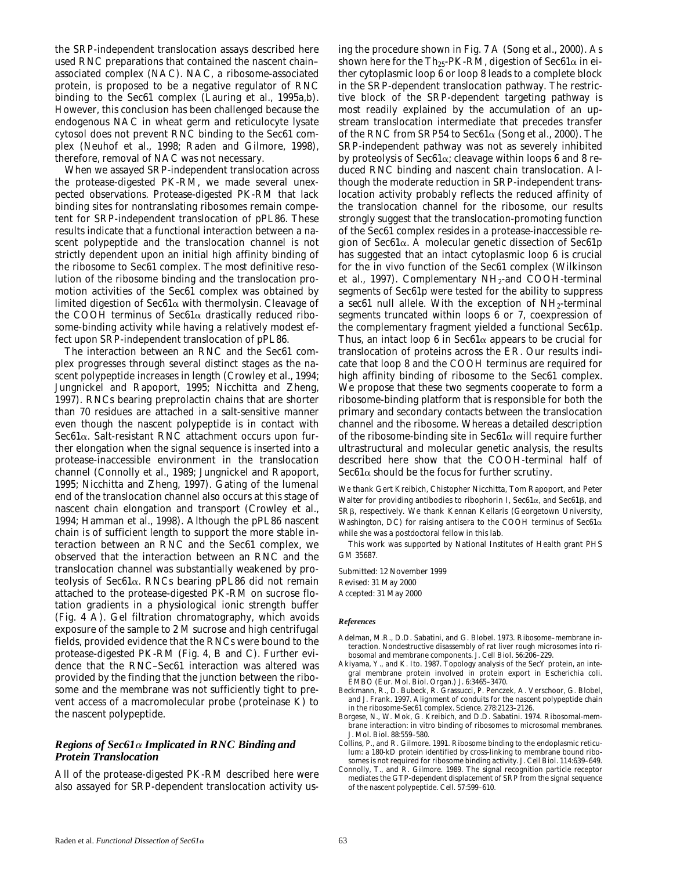the SRP-independent translocation assays described here used RNC preparations that contained the nascent chain– associated complex (NAC). NAC, a ribosome-associated protein, is proposed to be a negative regulator of RNC binding to the Sec61 complex (Lauring et al., 1995a,b). However, this conclusion has been challenged because the endogenous NAC in wheat germ and reticulocyte lysate cytosol does not prevent RNC binding to the Sec61 complex (Neuhof et al., 1998; Raden and Gilmore, 1998), therefore, removal of NAC was not necessary.

When we assayed SRP-independent translocation across the protease-digested PK-RM, we made several unexpected observations. Protease-digested PK-RM that lack binding sites for nontranslating ribosomes remain competent for SRP-independent translocation of pPL86. These results indicate that a functional interaction between a nascent polypeptide and the translocation channel is not strictly dependent upon an initial high affinity binding of the ribosome to Sec61 complex. The most definitive resolution of the ribosome binding and the translocation promotion activities of the Sec61 complex was obtained by limited digestion of Sec61 $\alpha$  with thermolysin. Cleavage of the COOH terminus of  $\text{Sec61}\alpha$  drastically reduced ribosome-binding activity while having a relatively modest effect upon SRP-independent translocation of pPL86.

The interaction between an RNC and the Sec61 complex progresses through several distinct stages as the nascent polypeptide increases in length (Crowley et al., 1994; Jungnickel and Rapoport, 1995; Nicchitta and Zheng, 1997). RNCs bearing preprolactin chains that are shorter than 70 residues are attached in a salt-sensitive manner even though the nascent polypeptide is in contact with Sec $61\alpha$ . Salt-resistant RNC attachment occurs upon further elongation when the signal sequence is inserted into a protease-inaccessible environment in the translocation channel (Connolly et al., 1989; Jungnickel and Rapoport, 1995; Nicchitta and Zheng, 1997). Gating of the lumenal end of the translocation channel also occurs at this stage of nascent chain elongation and transport (Crowley et al., 1994; Hamman et al., 1998). Although the pPL86 nascent chain is of sufficient length to support the more stable interaction between an RNC and the Sec61 complex, we observed that the interaction between an RNC and the translocation channel was substantially weakened by proteolysis of Sec61a. RNCs bearing pPL86 did not remain attached to the protease-digested PK-RM on sucrose flotation gradients in a physiological ionic strength buffer (Fig. 4 A). Gel filtration chromatography, which avoids exposure of the sample to 2 M sucrose and high centrifugal fields, provided evidence that the RNCs were bound to the protease-digested PK-RM (Fig. 4, B and C). Further evidence that the RNC–Sec61 interaction was altered was provided by the finding that the junction between the ribosome and the membrane was not sufficiently tight to prevent access of a macromolecular probe (proteinase K) to the nascent polypeptide.

# *Regions of Sec61*a *Implicated in RNC Binding and Protein Translocation*

All of the protease-digested PK-RM described here were also assayed for SRP-dependent translocation activity us-

ing the procedure shown in Fig. 7 A (Song et al., 2000). As shown here for the Th<sub>25</sub>-PK-RM, digestion of Sec61 $\alpha$  in either cytoplasmic loop 6 or loop 8 leads to a complete block in the SRP-dependent translocation pathway. The restrictive block of the SRP-dependent targeting pathway is most readily explained by the accumulation of an upstream translocation intermediate that precedes transfer of the RNC from SRP54 to Sec61a (Song et al., 2000). The SRP-independent pathway was not as severely inhibited by proteolysis of Sec $61\alpha$ ; cleavage within loops 6 and 8 reduced RNC binding and nascent chain translocation. Although the moderate reduction in SRP-independent translocation activity probably reflects the reduced affinity of the translocation channel for the ribosome, our results strongly suggest that the translocation-promoting function of the Sec61 complex resides in a protease-inaccessible region of Sec61a. A molecular genetic dissection of Sec61p has suggested that an intact cytoplasmic loop 6 is crucial for the in vivo function of the Sec61 complex (Wilkinson et al., 1997). Complementary  $NH<sub>2</sub>$ -and COOH-terminal segments of Sec61p were tested for the ability to suppress a  $sec61$  null allele. With the exception of  $NH_2$ -terminal segments truncated within loops 6 or 7, coexpression of the complementary fragment yielded a functional Sec61p. Thus, an intact loop 6 in Sec61 $\alpha$  appears to be crucial for translocation of proteins across the ER. Our results indicate that loop 8 and the COOH terminus are required for high affinity binding of ribosome to the Sec61 complex. We propose that these two segments cooperate to form a ribosome-binding platform that is responsible for both the primary and secondary contacts between the translocation channel and the ribosome. Whereas a detailed description of the ribosome-binding site in  $\text{Sec61}\alpha$  will require further ultrastructural and molecular genetic analysis, the results described here show that the COOH-terminal half of Sec $61\alpha$  should be the focus for further scrutiny.

We thank Gert Kreibich, Chistopher Nicchitta, Tom Rapoport, and Peter Walter for providing antibodies to ribophorin I, Sec61 $\alpha$ , and Sec61 $\beta$ , and SR<sub>B</sub>, respectively. We thank Kennan Kellaris (Georgetown University, Washington, DC) for raising antisera to the COOH terminus of  $\text{Sec61}\alpha$ while she was a postdoctoral fellow in this lab.

This work was supported by National Institutes of Health grant PHS GM 35687.

Submitted: 12 November 1999 Revised: 31 May 2000 Accepted: 31 May 2000

#### *References*

- Adelman, M.R., D.D. Sabatini, and G. Blobel. 1973. Ribosome–membrane interaction. Nondestructive disassembly of rat liver rough microsomes into ribosomal and membrane components. *J. Cell Biol.* 56:206–229.
- Akiyama, Y., and K. Ito. 1987. Topology analysis of the SecY protein, an integral membrane protein involved in protein export in *Escherichia coli*. *EMBO (Eur. Mol. Biol. Organ.) J.* 6:3465–3470.
- Beckmann, R., D. Bubeck, R. Grassucci, P. Penczek, A. Verschoor, G. Blobel, and J. Frank. 1997. Alignment of conduits for the nascent polypeptide chain in the ribosome-Sec61 complex. *Science.* 278:2123–2126.
- Borgese, N., W. Mok, G. Kreibich, and D.D. Sabatini. 1974. Ribosomal-membrane interaction: in vitro binding of ribosomes to microsomal membranes. *J. Mol. Biol.* 88:559–580.
- Collins, P., and R. Gilmore. 1991. Ribosome binding to the endoplasmic reticulum: a 180-kD protein identified by cross-linking to membrane bound ribosomes is not required for ribosome binding activity. *J. Cell Biol.* 114:639–649.
- Connolly, T., and R. Gilmore. 1989. The signal recognition particle receptor mediates the GTP-dependent displacement of SRP from the signal sequence of the nascent polypeptide. *Cell.* 57:599–610.